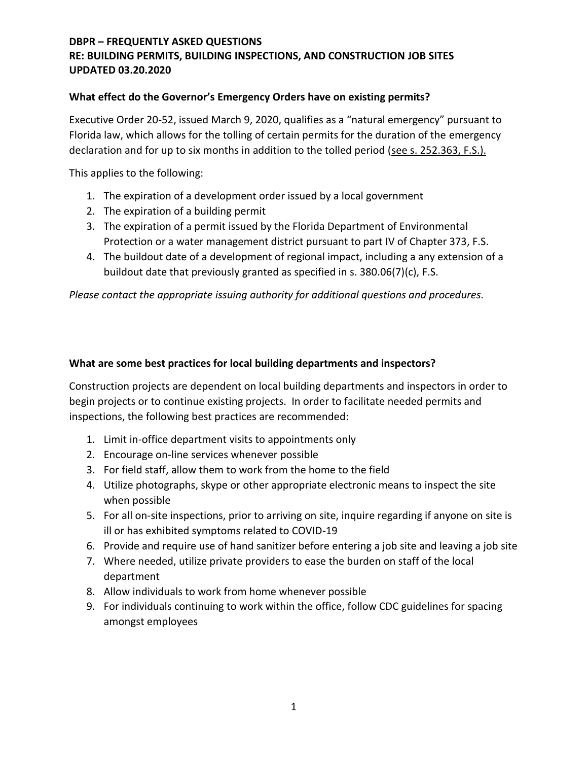# **DBPR – FREQUENTLY ASKED QUESTIONS RE: BUILDING PERMITS, BUILDING INSPECTIONS, AND CONSTRUCTION JOB SITES UPDATED 03.20.2020**

### **What effect do the Governor's Emergency Orders have on existing permits?**

Executive Order 20-52, issued March 9, 2020, qualifies as a "natural emergency" pursuant to Florida law, which allows for the tolling of certain permits for the duration of the emergency declaration and for up to six months in addition to the tolled period (see s. 252.363, F.S.).

This applies to the following:

- 1. The expiration of a development order issued by a local government
- 2. The expiration of a building permit
- 3. The expiration of a permit issued by the Florida Department of Environmental Protection or a water management district pursuant to part IV of Chapter 373, F.S.
- 4. The buildout date of a development of regional impact, including a any extension of a buildout date that previously granted as specified in s. 380.06(7)(c), F.S.

*Please contact the appropriate issuing authority for additional questions and procedures.*

### **What are some best practices for local building departments and inspectors?**

Construction projects are dependent on local building departments and inspectors in order to begin projects or to continue existing projects. In order to facilitate needed permits and inspections, the following best practices are recommended:

- 1. Limit in-office department visits to appointments only
- 2. Encourage on-line services whenever possible
- 3. For field staff, allow them to work from the home to the field
- 4. Utilize photographs, skype or other appropriate electronic means to inspect the site when possible
- 5. For all on-site inspections, prior to arriving on site, inquire regarding if anyone on site is ill or has exhibited symptoms related to COVID-19
- 6. Provide and require use of hand sanitizer before entering a job site and leaving a job site
- 7. Where needed, utilize private providers to ease the burden on staff of the local department
- 8. Allow individuals to work from home whenever possible
- 9. For individuals continuing to work within the office, follow CDC guidelines for spacing amongst employees